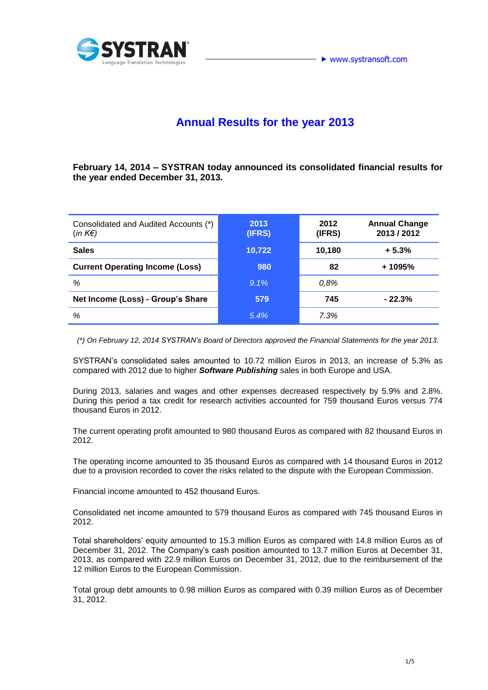

# **Annual Results for the year 2013**

**February 14, 2014 – SYSTRAN today announced its consolidated financial results for the year ended December 31, 2013.**

| Consolidated and Audited Accounts (*)<br>$(in K \in )$ | 2013<br>(IFRS) | 2012<br>(IFRS) | <b>Annual Change</b><br>2013 / 2012 |
|--------------------------------------------------------|----------------|----------------|-------------------------------------|
| <b>Sales</b>                                           | 10,722         | 10,180         | $+5.3%$                             |
| <b>Current Operating Income (Loss)</b>                 | 980            | 82             | + 1095%                             |
| %                                                      | $9.1\%$        | 0,8%           |                                     |
| Net Income (Loss) - Group's Share                      | 579            | 745            | $-22.3%$                            |
| %                                                      | 5.4%           | 7.3%           |                                     |

 *(\*) On February 12, 2014 SYSTRAN's Board of Directors approved the Financial Statements for the year 2013.*

SYSTRAN's consolidated sales amounted to 10.72 million Euros in 2013, an increase of 5.3% as compared with 2012 due to higher *Software Publishing* sales in both Europe and USA.

During 2013, salaries and wages and other expenses decreased respectively by 5.9% and 2.8%. During this period a tax credit for research activities accounted for 759 thousand Euros versus 774 thousand Euros in 2012.

The current operating profit amounted to 980 thousand Euros as compared with 82 thousand Euros in 2012.

The operating income amounted to 35 thousand Euros as compared with 14 thousand Euros in 2012 due to a provision recorded to cover the risks related to the dispute with the European Commission.

Financial income amounted to 452 thousand Euros.

Consolidated net income amounted to 579 thousand Euros as compared with 745 thousand Euros in 2012.

Total shareholders' equity amounted to 15.3 million Euros as compared with 14.8 million Euros as of December 31, 2012. The Company's cash position amounted to 13.7 million Euros at December 31, 2013, as compared with 22.9 million Euros on December 31, 2012, due to the reimbursement of the 12 million Euros to the European Commission.

Total group debt amounts to 0.98 million Euros as compared with 0.39 million Euros as of December 31, 2012.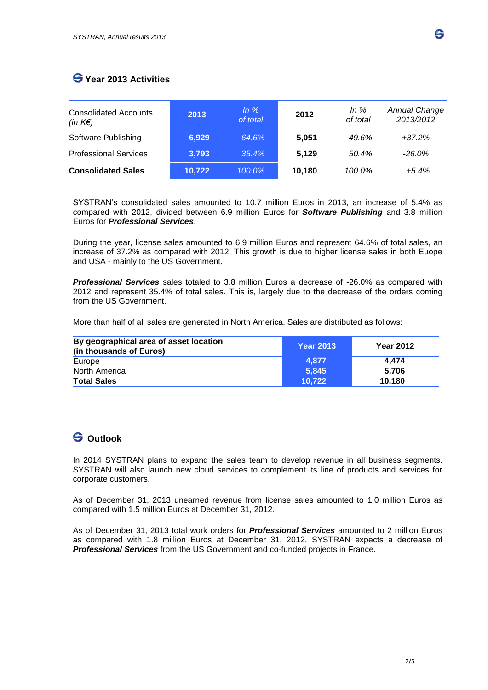### **Year 2013 Activities**

| <b>Consolidated Accounts</b><br>(in $K \in \mathcal{E}$ ) | 2013   | In $%$<br>of total | 2012   | In $%$<br>of total | <b>Annual Change</b><br>2013/2012 |
|-----------------------------------------------------------|--------|--------------------|--------|--------------------|-----------------------------------|
| Software Publishing                                       | 6,929  | 64.6%              | 5.051  | 49.6%              | $+37.2%$                          |
| <b>Professional Services</b>                              | 3,793  | 35.4%              | 5,129  | 50.4%              | $-26.0\%$                         |
| <b>Consolidated Sales</b>                                 | 10,722 | 100.0%             | 10,180 | 100.0%             | $+5.4%$                           |

SYSTRAN's consolidated sales amounted to 10.7 million Euros in 2013, an increase of 5.4% as compared with 2012, divided between 6.9 million Euros for *Software Publishing* and 3.8 million Euros for *Professional Services*.

During the year, license sales amounted to 6.9 million Euros and represent 64.6% of total sales, an increase of 37.2% as compared with 2012. This growth is due to higher license sales in both Euope and USA - mainly to the US Government.

*Professional Services* sales totaled to 3.8 million Euros a decrease of -26.0% as compared with 2012 and represent 35.4% of total sales. This is, largely due to the decrease of the orders coming from the US Government.

More than half of all sales are generated in North America. Sales are distributed as follows:

| By geographical area of asset location<br>(in thousands of Euros) | <b>Year 2013</b> | <b>Year 2012</b> |
|-------------------------------------------------------------------|------------------|------------------|
| Europe                                                            | 4.877            | 4.474            |
| North America                                                     | 5.845            | 5.706            |
| <b>Total Sales</b>                                                | 10.722           | 10.180           |

#### **Outlook**

In 2014 SYSTRAN plans to expand the sales team to develop revenue in all business segments. SYSTRAN will also launch new cloud services to complement its line of products and services for corporate customers.

As of December 31, 2013 unearned revenue from license sales amounted to 1.0 million Euros as compared with 1.5 million Euros at December 31, 2012.

As of December 31, 2013 total work orders for *Professional Services* amounted to 2 million Euros as compared with 1.8 million Euros at December 31, 2012. SYSTRAN expects a decrease of *Professional Services* from the US Government and co-funded projects in France.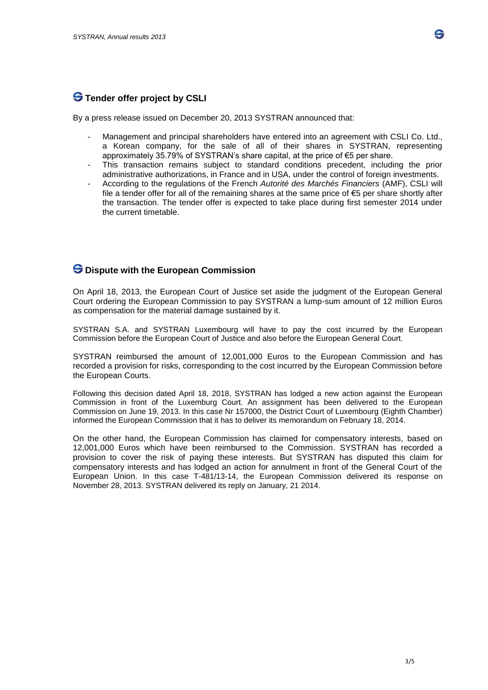## **S** Tender offer project by CSLI

By a press release issued on December 20, 2013 SYSTRAN announced that:

- Management and principal shareholders have entered into an agreement with CSLI Co. Ltd., a Korean company, for the sale of all of their shares in SYSTRAN, representing approximately 35.79% of SYSTRAN's share capital, at the price of €5 per share.
- This transaction remains subject to standard conditions precedent, including the prior administrative authorizations, in France and in USA, under the control of foreign investments.
- According to the regulations of the French *Autorité des Marchés Financiers* (AMF), CSLI will file a tender offer for all of the remaining shares at the same price of €5 per share shortly after the transaction. The tender offer is expected to take place during first semester 2014 under the current timetable.

#### **Dispute with the European Commission**

On April 18, 2013, the European Court of Justice set aside the judgment of the European General Court ordering the European Commission to pay SYSTRAN a lump-sum amount of 12 million Euros as compensation for the material damage sustained by it.

SYSTRAN S.A. and SYSTRAN Luxembourg will have to pay the cost incurred by the European Commission before the European Court of Justice and also before the European General Court.

SYSTRAN reimbursed the amount of 12,001,000 Euros to the European Commission and has recorded a provision for risks, corresponding to the cost incurred by the European Commission before the European Courts.

Following this decision dated April 18, 2018, SYSTRAN has lodged a new action against the European Commission in front of the Luxemburg Court. An assignment has been delivered to the European Commission on June 19, 2013. In this case Nr 157000, the District Court of Luxembourg (Eighth Chamber) informed the European Commission that it has to deliver its memorandum on February 18, 2014.

On the other hand, the European Commission has claimed for compensatory interests, based on 12,001,000 Euros which have been reimbursed to the Commission. SYSTRAN has recorded a provision to cover the risk of paying these interests. But SYSTRAN has disputed this claim for compensatory interests and has lodged an action for annulment in front of the General Court of the European Union. In this case T-481/13-14, the European Commission delivered its response on November 28, 2013. SYSTRAN delivered its reply on January, 21 2014.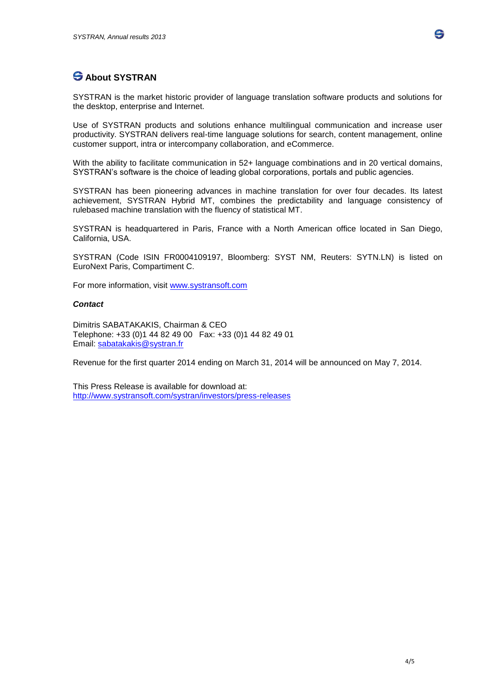# **About SYSTRAN**

SYSTRAN is the market historic provider of language translation software products and solutions for the desktop, enterprise and Internet.

Use of SYSTRAN products and solutions enhance multilingual communication and increase user productivity. SYSTRAN delivers real-time language solutions for search, content management, online customer support, intra or intercompany collaboration, and eCommerce.

With the ability to facilitate communication in 52+ language combinations and in 20 vertical domains, SYSTRAN's software is the choice of leading global corporations, portals and public agencies.

SYSTRAN has been pioneering advances in machine translation for over four decades. Its latest achievement, SYSTRAN Hybrid MT, combines the predictability and language consistency of rulebased machine translation with the fluency of statistical MT.

SYSTRAN is headquartered in Paris, France with a North American office located in San Diego, California, USA.

SYSTRAN (Code ISIN FR0004109197, Bloomberg: SYST NM, Reuters: SYTN.LN) is listed on EuroNext Paris, Compartiment C.

For more information, visit [www.systransoft.com](http://www.systransoft.com/)

#### *Contact*

Dimitris SABATAKAKIS, Chairman & CEO Telephone: +33 (0)1 44 82 49 00 Fax: +33 (0)1 44 82 49 01 Email: [sabatakakis@systran.fr](mailto:sabatakakis@systran.fr)

Revenue for the first quarter 2014 ending on March 31, 2014 will be announced on May 7, 2014.

This Press Release is available for download at: <http://www.systransoft.com/systran/investors/press-releases>